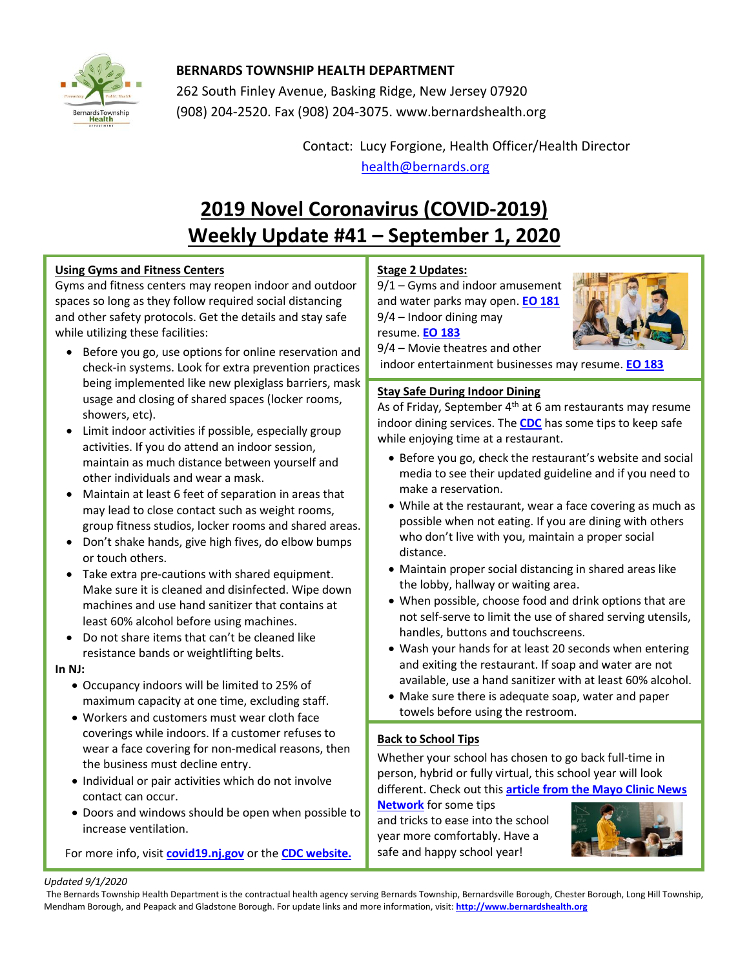

## **BERNARDS TOWNSHIP HEALTH DEPARTMENT**

262 South Finley Avenue, Basking Ridge, New Jersey 07920 (908) 204-2520. Fax (908) 204-3075[. www.bernardshealth.org](http://www.bernardshealth.org/)

> Contact: Lucy Forgione, Health Officer/Health Director [health@bernards.org](mailto:health@bernards.org)

# **2019 Novel Coronavirus (COVID-2019) Weekly Update #41 – September 1, 2020**

## **Using Gyms and Fitness Centers**

Gyms and fitness centers may reopen indoor and outdoor spaces so long as they follow required social distancing and other safety protocols. Get the details and stay safe while utilizing these facilities:

- Before you go, use options for online reservation and check-in systems. Look for extra prevention practices being implemented like new plexiglass barriers, mask usage and closing of shared spaces (locker rooms, showers, etc).
- Limit indoor activities if possible, especially group activities. If you do attend an indoor session, maintain as much distance between yourself and other individuals and wear a mask.
- Maintain at least 6 feet of separation in areas that may lead to close contact such as weight rooms, group fitness studios, locker rooms and shared areas.
- Don't shake hands, give high fives, do elbow bumps or touch others.
- Take extra pre-cautions with shared equipment. Make sure it is cleaned and disinfected. Wipe down machines and use hand sanitizer that contains at least 60% alcohol before using machines.
- Do not share items that can't be cleaned like resistance bands or weightlifting belts.

### **In NJ:**

- Occupancy indoors will be limited to 25% of maximum capacity at one time, excluding staff.
- Workers and customers must wear cloth face coverings while indoors. If a customer refuses to wear a face covering for non-medical reasons, then the business must decline entry.
- Individual or pair activities which do not involve contact can occur.
- Doors and windows should be open when possible to increase ventilation.

For more info, visit **[covid19.nj.gov](https://covid19.nj.gov/faqs/nj-information/reopening-guidance-and-restrictions/are-gyms-open-what-rules-or-safety-guidance-must-they-follow)** or the **[CDC website.](https://www.cdc.gov/coronavirus/2019-ncov/daily-life-coping/personal-social-activities.html)**

## **Stage 2 Updates:**

9/1 – Gyms and indoor amusement and water parks may open. **[EO 181](https://nj.gov/infobank/eo/056murphy/pdf/EO-181.pdf)** 9/4 – Indoor dining may

resume. **[EO 183](https://d31hzlhk6di2h5.cloudfront.net/20200901/b6/95/ec/8f/90b112055ff7f57a987fa4e7/EO-183.pdf)**



9/4 – Movie theatres and other

indoor entertainment businesses may resume. **[EO 183](https://nj.gov/infobank/eo/056murphy/pdf/EO-183.pdf)**

## **Stay Safe During Indoor Dining**

As of Friday, September  $4<sup>th</sup>$  at 6 am restaurants may resume indoor dining services. The **[CDC](https://www.cdc.gov/coronavirus/2019-ncov/daily-life-coping/personal-social-activities.html)** has some tips to keep safe while enjoying time at a restaurant.

- Before you go, **c**heck the restaurant's website and social media to see their updated guideline and if you need to make a reservation.
- While at the restaurant, wear a face covering as much as possible when not eating. If you are dining with others who don't live with you, maintain a proper social distance.
- Maintain proper social distancing in shared areas like the lobby, hallway or waiting area.
- When possible, choose food and drink options that are not self-serve to limit the use of shared serving utensils, handles, buttons and touchscreens.
- Wash your hands for at least 20 seconds when entering and exiting the restaurant. If soap and water are not available, use a hand sanitizer with at least 60% alcohol.
- Make sure there is adequate soap, water and paper towels before using the restroom.

## **Back to School Tips**

Whether your school has chosen to go back full-time in person, hybrid or fully virtual, this school year will look different. Check out this **[article from the Mayo Clinic News](https://newsnetwork.mayoclinic.org/discussion/mayo-clinic-q-and-a-back-to-school-mental-health-tips/)  [Network](https://newsnetwork.mayoclinic.org/discussion/mayo-clinic-q-and-a-back-to-school-mental-health-tips/)** for some tips

and tricks to ease into the school year more comfortably. Have a safe and happy school year!



#### *Updated 9/1/2020*

The Bernards Township Health Department is the contractual health agency serving Bernards Township, Bernardsville Borough, Chester Borough, Long Hill Township, Mendham Borough, and Peapack and Gladstone Borough. For update links and more information, visit: **[http://www.bernardshealth.org](http://www.bernardshealth.org/)**